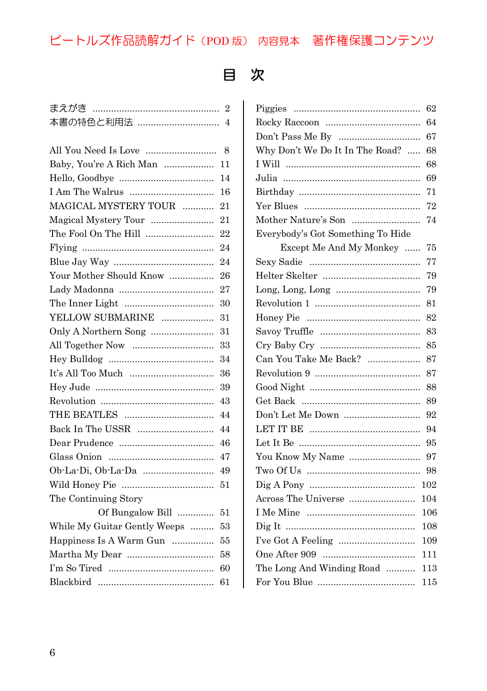## ビートルズ作品読解ガイド(POD 版) 内容見本 著作権保護コンテンツ

## 目 次

| まえがき ………………………………………         | $\overline{2}$ |
|------------------------------|----------------|
| 本書の特色と利用法                    | $\overline{4}$ |
|                              |                |
| All You Need Is Love         | 8              |
| Baby, You're A Rich Man      | 11             |
|                              | 14             |
|                              | 16             |
| MAGICAL MYSTERY TOUR         | 21             |
| Magical Mystery Tour         | 21             |
| The Fool On The Hill         | 22             |
|                              | 24             |
|                              | 24             |
| Your Mother Should Know      | 26             |
|                              | 27             |
|                              | 30             |
| YELLOW SUBMARINE             | 31             |
| Only A Northern Song         | 31             |
|                              | 33             |
|                              | 34             |
| It's All Too Much            | 36             |
|                              | 39             |
|                              | 43             |
|                              | 44             |
|                              | 44             |
|                              | 46             |
|                              | 47             |
|                              | 49             |
|                              | 51             |
| The Continuing Story         |                |
| Of Bungalow Bill             | 51             |
| While My Guitar Gently Weeps | 53             |
| Happiness Is A Warm Gun      | 55             |
|                              | 58             |
|                              | 60             |
|                              | 61             |
|                              |                |

|                                   | 62  |
|-----------------------------------|-----|
|                                   | 64  |
|                                   | 67  |
| Why Don't We Do It In The Road?   | 68  |
|                                   | 68  |
|                                   | 69  |
|                                   | 71  |
|                                   | 72  |
| Mother Nature's Son               | 74  |
| Everybody's Got Something To Hide |     |
| Except Me And My Monkey           | 75  |
|                                   | 77  |
|                                   | 79  |
|                                   | 79  |
|                                   | 81  |
|                                   | 82  |
|                                   | 83  |
|                                   | 85  |
| Can You Take Me Back?             | 87  |
|                                   | 87  |
|                                   | 88  |
|                                   | 89  |
| Don't Let Me Down                 | 92  |
|                                   | 94  |
|                                   | 95  |
| You Know My Name                  | 97  |
|                                   | 98  |
|                                   | 102 |
|                                   | 104 |
|                                   | 106 |
|                                   | 108 |
|                                   | 109 |
|                                   | 111 |
| The Long And Winding Road         | 113 |
|                                   | 115 |
|                                   |     |